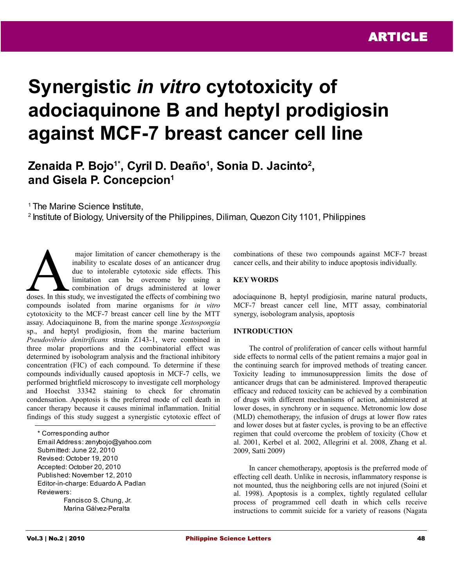# **Synergistic** *in vitro* **cytotoxicity of adociaquinone B and heptyl prodigiosin against MCF-7 breast cancer cell line**

# **Zenaida P. Bojo1\*, Cyril D. Deaño<sup>1</sup> , Sonia D. Jacinto<sup>2</sup> , and Gisela P. Concepcion<sup>1</sup>**

<sup>1</sup> The Marine Science Institute.

<sup>2</sup> Institute of Biology, University of the Philippines, Diliman, Quezon City 1101, Philippines

 major limitation of cancer chemotherapy is the inability to escalate doses of an anticancer drug due to intolerable cytotoxic side effects. This limitation can be overcome by using a combination of drugs administered at lower major limitation of cancer chemotherapy is the<br>inability to escalate doses of an anticancer drug<br>due to intolerable cytotoxic side effects. This<br>limitation can be overcome by using a<br>combination of drugs administered at lo compounds isolated from marine organisms for *in vitro* cytotoxicity to the MCF-7 breast cancer cell line by the MTT assay. Adociaquinone B, from the marine sponge *Xestospongia* sp., and heptyl prodigiosin, from the marine bacterium *Pseudovibrio denitrificans* strain Z143-1, were combined in three molar proportions and the combinatorial effect was determined by isobologram analysis and the fractional inhibitory concentration (FIC) of each compound. To determine if these compounds individually caused apoptosis in MCF-7 cells, we performed brightfield microscopy to investigate cell morphology and Hoechst 33342 staining to check for chromatin condensation. Apoptosis is the preferred mode of cell death in cancer therapy because it causes minimal inflammation. Initial findings of this study suggest a synergistic cytotoxic effect of

\* Corresponding author Email Address: zenybojo@yahoo.com Submitted: June 22, 2010 Revised: October 19, 2010 Accepted: October 20, 2010 Published: November 12, 2010 Editor-in-charge: Eduardo A. Padlan Reviewers: Fancisco S. Chung, Jr.

Marina Gálvez-Peralta

combinations of these two compounds against MCF-7 breast cancer cells, and their ability to induce apoptosis individually.

# **KEY WORDS**

adociaquinone B, heptyl prodigiosin, marine natural products, MCF-7 breast cancer cell line, MTT assay, combinatorial synergy, isobologram analysis, apoptosis

# **INTRODUCTION**

The control of proliferation of cancer cells without harmful side effects to normal cells of the patient remains a major goal in the continuing search for improved methods of treating cancer. Toxicity leading to immunosuppression limits the dose of anticancer drugs that can be administered. Improved therapeutic efficacy and reduced toxicity can be achieved by a combination of drugs with different mechanisms of action, administered at lower doses, in synchrony or in sequence. Metronomic low dose (MLD) chemotherapy, the infusion of drugs at lower flow rates and lower doses but at faster cycles, is proving to be an effective regimen that could overcome the problem of toxicity (Chow et al. 2001, Kerbel et al. 2002, Allegrini et al. 2008, Zhang et al. 2009, Satti 2009)

In cancer chemotherapy, apoptosis is the preferred mode of effecting cell death. Unlike in necrosis, inflammatory response is not mounted, thus the neighboring cells are not injured (Soini et al. 1998). Apoptosis is a complex, tightly regulated cellular process of programmed cell death in which cells receive instructions to commit suicide for a variety of reasons (Nagata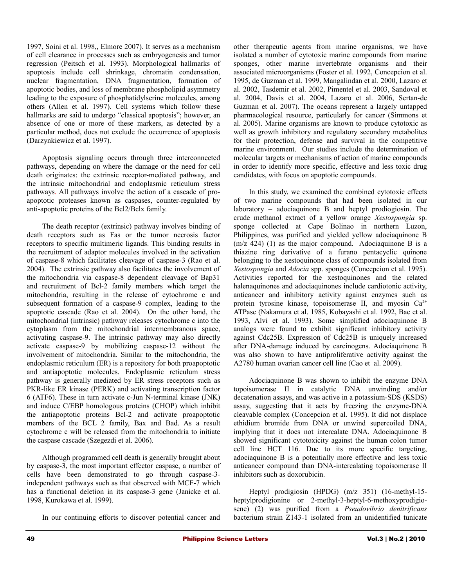1997, Soini et al. 1998,, Elmore 2007). It serves as a mechanism of cell clearance in processes such as embryogenesis and tumor regression (Peitsch et al. 1993). Morphological hallmarks of apoptosis include cell shrinkage, chromatin condensation, nuclear fragmentation, DNA fragmentation, formation of apoptotic bodies, and loss of membrane phospholipid asymmetry leading to the exposure of phosphatidylserine molecules, among others (Allen et al. 1997). Cell systems which follow these hallmarks are said to undergo "classical apoptosis"; however, an absence of one or more of these markers, as detected by a particular method, does not exclude the occurrence of apoptosis (Darzynkiewicz et al. 1997).

Apoptosis signaling occurs through three interconnected pathways, depending on where the damage or the need for cell death originates: the extrinsic receptor-mediated pathway, and the intrinsic mitochondrial and endoplasmic reticulum stress pathways. All pathways involve the action of a cascade of proapoptotic proteases known as caspases, counter-regulated by anti-apoptotic proteins of the Bcl2/Bclx family.

The death receptor (extrinsic) pathway involves binding of death receptors such as Fas or the tumor necrosis factor receptors to specific multimeric ligands. This binding results in the recruitment of adaptor molecules involved in the activation of caspase-8 which facilitates cleavage of caspase-3 (Rao et al. 2004). The extrinsic pathway also facilitates the involvement of the mitochondria via caspase-8 dependent cleavage of Bap31 and recruitment of Bcl-2 family members which target the mitochondria, resulting in the release of cytochrome c and subsequent formation of a caspase-9 complex, leading to the apoptotic cascade (Rao et al. 2004). On the other hand, the mitochondrial (intrinsic) pathway releases cytochrome c into the cytoplasm from the mitochondrial intermembranous space, activating caspase-9. The intrinsic pathway may also directly activate caspase-9 by mobilizing caspase-12 without the involvement of mitochondria. Similar to the mitochondria, the endoplasmic reticulum (ER) is a repository for both proapoptotic and antiapoptotic molecules. Endoplasmic reticulum stress pathway is generally mediated by ER stress receptors such as PKR-like ER kinase (PERK) and activating transcription factor 6 (ATF6). These in turn activate c-Jun N-terminal kinase (JNK) and induce C/EBP homologous proteins (CHOP) which inhibit the antiapoptotic proteins Bcl-2 and activate proapoptotic members of the BCL 2 family, Bax and Bad. As a result cytochrome c will be released from the mitochondria to initiate the caspase cascade (Szegezdi et al. 2006).

Although programmed cell death is generally brought about by caspase-3, the most important effector caspase, a number of cells have been demonstrated to go through caspase-3 independent pathways such as that observed with MCF-7 which has a functional deletion in its caspase-3 gene (Janicke et al. 1998, Kurokawa et al. 1999).

In our continuing efforts to discover potential cancer and

other therapeutic agents from marine organisms, we have isolated a number of cytotoxic marine compounds from marine sponges, other marine invertebrate organisms and their associated microorganisms (Foster et al. 1992, Concepcion et al. 1995, de Guzman et al. 1999, Mangalindan et al. 2000, Lazaro et al. 2002, Tasdemir et al. 2002, Pimentel et al. 2003, Sandoval et al. 2004, Davis et al. 2004, Lazaro et al. 2006, Sertan-de Guzman et al. 2007). The oceans represent a largely untapped pharmacological resource, particularly for cancer (Simmons et al. 2005). Marine organisms are known to produce cytotoxic as well as growth inhibitory and regulatory secondary metabolites for their protection, defense and survival in the competitive marine environment. Our studies include the determination of molecular targets or mechanisms of action of marine compounds in order to identify more specific, effective and less toxic drug candidates, with focus on apoptotic compounds.

In this study, we examined the combined cytotoxic effects of two marine compounds that had been isolated in our laboratory – adociaquinone B and heptyl prodiogiosin. The crude methanol extract of a yellow orange *Xestospongia* sp. sponge collected at Cape Bolinao in northern Luzon, Philippines, was purified and yielded yellow adociaquinone B (m/z 424) (1) as the major compound. Adociaquinone B is a thiazine ring derivative of a furano pentacyclic quinone belonging to the xestoquinone class of compounds isolated from *Xestospongia* and *Adocia* spp. sponges (Concepcion et al. 1995). Activities reported for the xestoquinones and the related halenaquinones and adociaquinones include cardiotonic activity, anticancer and inhibitory activity against enzymes such as protein tyrosine kinase, topoisomerase II, and myosin  $Ca^{2+}$ ATPase (Nakamura et al. 1985, Kobayashi et al. 1992, Bae et al. 1993, Alvi et al. 1993). Some simplified adociaquinone B analogs were found to exhibit significant inhibitory activity against Cdc25B. Expression of Cdc25B is uniquely increased after DNA-damage induced by carcinogens. Adociaquinone B was also shown to have antiproliferative activity against the A2780 human ovarian cancer cell line (Cao et al. 2009).

Adociaquinone B was shown to inhibit the enzyme DNA topoisomerase II in catalytic DNA unwinding and/or decatenation assays, and was active in a potassium-SDS (KSDS) assay, suggesting that it acts by freezing the enzyme-DNA cleavable complex (Concepcion et al. 1995). It did not displace ethidium bromide from DNA or unwind supercoiled DNA, implying that it does not intercalate DNA. Adociaquinone B showed significant cytotoxicity against the human colon tumor cell line HCT 116. Due to its more specific targeting, adociaquinone B is a potentially more effective and less toxic anticancer compound than DNA-intercalating topoisomerase II inhibitors such as doxorubicin.

Heptyl prodigiosin (HPDG) (m/z 351) (16-methyl-15 heptylprodigionine or 2-methyl-3-heptyl-6-methoxyprodigiosene) (2) was purified from a *Pseudovibrio denitrificans* bacterium strain Z143-1 isolated from an unidentified tunicate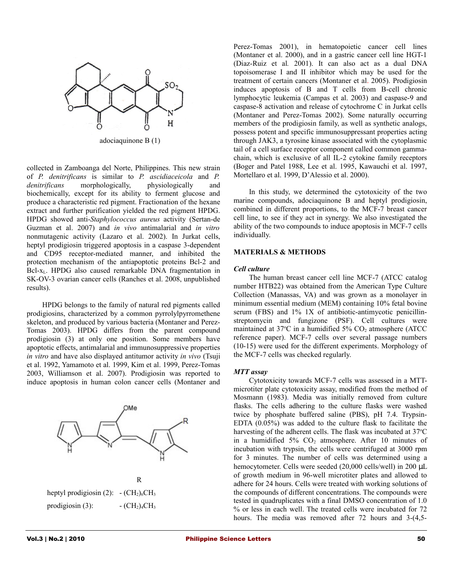

adociaquinone B (1)

collected in Zamboanga del Norte, Philippines. This new strain of *P. denitrificans* is similar to *P. ascidiaceicola* and *P. denitrificans* morphologically, physiologically and biochemically, except for its ability to ferment glucose and produce a characteristic red pigment. Fractionation of the hexane extract and further purification yielded the red pigment HPDG. HPDG showed anti-*Staphylococcus aureus* activity (Sertan-de Guzman et al. 2007) and *in vivo* antimalarial and *in vitro* nonmutagenic activity (Lazaro et al. 2002). In Jurkat cells, heptyl prodigiosin triggered apoptosis in a caspase 3-dependent and CD95 receptor-mediated manner, and inhibited the protection mechanism of the antiapoptotic proteins Bcl-2 and Bcl-xL. HPDG also caused remarkable DNA fragmentation in SK-OV-3 ovarian cancer cells (Ranches et al. 2008, unpublished results).

HPDG belongs to the family of natural red pigments called prodigiosins, characterized by a common pyrrolylpyrromethene skeleton, and produced by various bacteria (Montaner and Perez-Tomas 2003). HPDG differs from the parent compound prodigiosin (3) at only one position. Some members have apoptotic effects, antimalarial and immunosuppressive properties *in vitro* and have also displayed antitumor activity *in vivo* (Tsuji et al. 1992, Yamamoto et al. 1999, Kim et al. 1999, Perez-Tomas 2003, Williamson et al. 2007). Prodigiosin was reported to induce apoptosis in human colon cancer cells (Montaner and



Perez-Tomas 2001), in hematopoietic cancer cell lines (Montaner et al. 2000), and in a gastric cancer cell line HGT-1 (Diaz-Ruiz et al*.* 2001). It can also act as a dual DNA topoisomerase I and II inhibitor which may be used for the treatment of certain cancers (Montaner et al. 2005). Prodigiosin induces apoptosis of B and T cells from B-cell chronic lymphocytic leukemia (Campas et al. 2003) and caspase-9 and caspase-8 activation and release of cytochrome C in Jurkat cells (Montaner and Perez-Tomas 2002). Some naturally occurring members of the prodigiosin family, as well as synthetic analogs, possess potent and specific immunosuppressant properties acting through JAK3, a tyrosine kinase associated with the cytoplasmic tail of a cell surface receptor component called common gammachain, which is exclusive of all IL-2 cytokine family receptors (Boger and Patel 1988, Lee et al. 1995, Kawauchi et al. 1997, Mortellaro et al. 1999, D'Alessio et al. 2000).

In this study, we determined the cytotoxicity of the two marine compounds, adociaquinone B and heptyl prodigiosin, combined in different proportions, to the MCF-7 breast cancer cell line, to see if they act in synergy. We also investigated the ability of the two compounds to induce apoptosis in MCF-7 cells individually.

# **MATERIALS & METHODS**

#### *Cell culture*

The human breast cancer cell line MCF-7 (ATCC catalog number HTB22) was obtained from the American Type Culture Collection (Manassas, VA) and was grown as a monolayer in minimum essential medium (MEM) containing 10% fetal bovine serum (FBS) and 1% 1X of antibiotic-antimycotic penicillinstreptomycin and fungizone (PSF). Cell cultures were maintained at  $37^{\circ}$ C in a humidified  $5\%$  CO<sub>2</sub> atmosphere (ATCC reference paper). MCF-7 cells over several passage numbers (10-15) were used for the different experiments. Morphology of the MCF-7 cells was checked regularly.

#### *MTT assay*

Cytotoxicity towards MCF-7 cells was assessed in a MTTmicrotiter plate cytotoxicity assay, modified from the method of Mosmann (1983). Media was initially removed from culture flasks. The cells adhering to the culture flasks were washed twice by phosphate buffered saline (PBS), pH 7.4. Trypsin-EDTA (0.05%) was added to the culture flask to facilitate the harvesting of the adherent cells. The flask was incubated at 37°C in a humidified  $5\%$  CO<sub>2</sub> atmosphere. After 10 minutes of incubation with trypsin, the cells were centrifuged at 3000 rpm for 3 minutes. The number of cells was determined using a hemocytometer. Cells were seeded (20,000 cells/well) in 200 µL of growth medium in 96-well microtiter plates and allowed to adhere for 24 hours. Cells were treated with working solutions of the compounds of different concentrations. The compounds were tested in quadruplicates with a final DMSO concentration of 1.0 % or less in each well. The treated cells were incubated for 72 hours. The media was removed after 72 hours and 3-(4,5-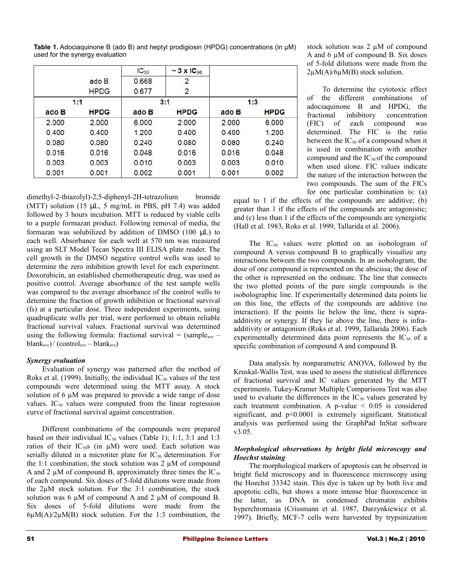|       |             | $IC_{50}$ | $\sim$ 3 x IC <sub>50</sub> |       |             |  |
|-------|-------------|-----------|-----------------------------|-------|-------------|--|
|       | ado B       | 0.668     | 2                           |       |             |  |
|       | <b>HPDG</b> | 0.677     | 2                           |       |             |  |
| 1:1   |             |           | 3:1                         | 1:3   |             |  |
| ado B | <b>HPDG</b> | ado B     | <b>HPDG</b>                 | ado B | <b>HPDG</b> |  |
| 2.000 | 2.000       | 6.000     | 2.000                       | 2.000 | 6.000       |  |
| 0.400 | 0.400       | 1.200     | 0.400                       | 0.400 | 1.200       |  |
| 0.080 | 0.080       | 0.240     | 0.080                       | 0.080 | 0.240       |  |
| 0.016 | 0.016       | 0.048     | 0.016                       | 0.016 | 0.048       |  |
| 0.003 | 0.003       | 0.010     | 0.003                       | 0.003 | 0.010       |  |
| 0.001 | 0.001       | 0.002     | 0.001                       | 0.001 | 0.002       |  |

**Table 1.** Adociaquinone B (ado B) and heptyl prodigiosin (HPDG) concentrations (in µM) used for the synergy evaluation

dimethyl-2-thiazolyl)-2,5-diphenyl-2H-tetrazolium bromide (MTT) solution (15  $\mu$ L, 5 mg/mL in PBS, pH 7.4) was added followed by 3 hours incubation. MTT is reduced by viable cells to a purple formazan product. Following removal of media, the formazan was solubilized by addition of DMSO (100 µL) to each well. Absorbance for each well at 570 nm was measured using an SLT Model Tecan Spectra III ELISA plate reader. The cell growth in the DMSO negative control wells was used to determine the zero inhibition growth level for each experiment. Doxorubicin, an established chemotherapeutic drug, was used as positive control. Average absorbance of the test sample wells was compared to the average absorbance of the control wells to determine the fraction of growth inhibition or fractional survival (fs) at a particular dose. Three independent experiments, using quadruplicate wells per trial, were performed to obtain reliable fractional survival values. Fractional survival was determined using the following formula: fractional survival =  $\text{(sample}_{\text{ave}}$  –  $blank<sub>ave</sub>$  / (control<sub>ave</sub> – blank<sub>ave</sub>)

# *Synergy evaluation*

Evaluation of synergy was patterned after the method of Roks et al. (1999). Initially, the individual  $IC_{50}$  values of the test compounds were determined using the MTT assay. A stock solution of 6  $\mu$ M was prepared to provide a wide range of dose values.  $IC_{50}$  values were computed from the linear regression curve of fractional survival against concentration.

Different combinations of the compounds were prepared based on their individual IC<sub>50</sub> values (Table 1); 1:1, 3:1 and 1:3 ratios of their  $IC_{50}$ s (in  $\mu$ M) were used. Each solution was serially diluted in a microtiter plate for  $IC_{50}$  determination. For the 1:1 combination, the stock solution was  $2 \mu M$  of compound A and 2  $\mu$ M of compound B, approximately three times the IC<sub>50</sub> of each compound. Six doses of 5-fold dilutions were made from the  $2\mu$ M stock solution. For the 3:1 combination, the stock solution was 6 µM of compound A and 2 µM of compound B. Six doses of 5-fold dilutions were made from the  $6\mu M(A)/2\mu M(B)$  stock solution. For the 1:3 combination, the stock solution was 2  $\mu$ M of compound A and 6 µM of compound B. Six doses of 5-fold dilutions were made from the  $2\mu M(A)/6\mu M(B)$  stock solution.

To determine the cytotoxic effect of the different combinations of adociaquinone B and HPDG, the fractional inhibitory concentration (FIC) of each compound was determined. The FIC is the ratio between the  $IC_{50}$  of a compound when it is used in combination with another compound and the  $IC_{50}$  of the compound when used alone. FIC values indicate the nature of the interaction between the two compounds. The sum of the FICs for one particular combination is: (a)

equal to 1 if the effects of the compounds are additive; (b) greater than 1 if the effects of the compounds are antagonistic; and (c) less than 1 if the effects of the compounds are synergistic (Hall et al. 1983, Roks et al. 1999, Tallarida et al. 2006).

The IC<sub>50</sub> values were plotted on an isobologram of compound A versus compound B to graphically visualize any interactions between the two compounds. In an isobologram, the dose of one compound is represented on the abscissa; the dose of the other is represented on the ordinate. The line that connects the two plotted points of the pure single compounds is the isobolographic line. If experimentally determined data points lie on this line, the effects of the compounds are additive (no interaction). If the points lie below the line, there is supraadditivity or synergy. If they lie above the line, there is infraadditivity or antagonism (Roks et al. 1999, Tallarida 2006). Each experimentally determined data point represents the  $IC_{50}$  of a specific combination of compound A and compound B.

Data analysis by nonparametric ANOVA, followed by the Kruskal-Wallis Test, was used to assess the statistical differences of fractional survival and IC values generated by the MTT experiments. Tukey-Kramer Multiple Comparisons Test was also used to evaluate the differences in the  $IC_{50}$  values generated by each treatment combination. A p-value < 0.05 is considered significant, and p<0.0001 is extremely significant. Statistical analysis was performed using the GraphPad InStat software v3.05.

# *Morphological observations by bright field microscopy and Hoechst staining*

The morphological markers of apoptosis can be observed in bright field microscopy and in fluorescence microscopy using the Hoechst 33342 stain. This dye is taken up by both live and apoptotic cells, but shows a more intense blue fluorescence in the latter, as DNA in condensed chromatin exhibits hyperchromasia (Crissmann et al. 1987, Darzynkiewicz et al. 1997). Briefly, MCF-7 cells were harvested by trypsinization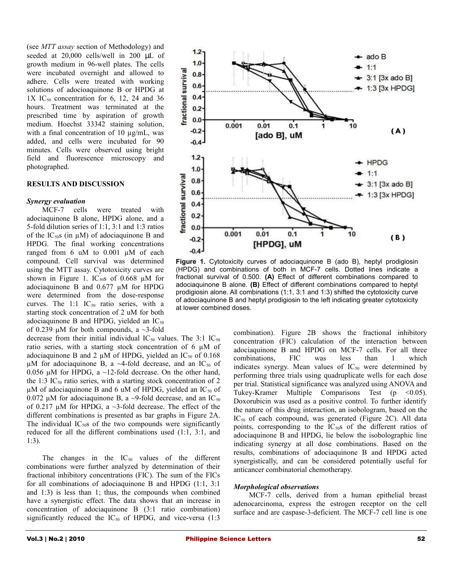(see *MTT assay* section of Methodology) and seeded at 20,000 cells/well in 200 µL of growth medium in 96-well plates. The cells were incubated overnight and allowed to adhere. Cells were treated with working solutions of adocioaquinone B or HPDG at  $1X$  IC<sub>50</sub> concentration for 6, 12, 24 and 36 hours. Treatment was terminated at the prescribed time by aspiration of growth medium. Hoechst 33342 staining solution, with a final concentration of 10  $\mu$ g/mL, was added, and cells were incubated for 90 minutes. Cells were observed using bright field and fluorescence microscopy and photographed.

## **RESULTS AND DISCUSSION**

#### *Synergy evaluation*

MCF-7 cells were treated with adociaquinone B alone, HPDG alone, and a 5-fold dilution series of 1:1, 3:1 and 1:3 ratios of the  $IC<sub>50</sub>S$  (in  $\mu$ M) of adociaquinone B and HPDG. The final working concentrations ranged from 6 uM to 0.001 µM of each compound. Cell survival was determined using the MTT assay. Cytotoxicity curves are shown in Figure 1. IC<sub>50</sub>s of 0.668  $\mu$ M for adociaquinone B and 0.677 µM for HPDG were determined from the dose-response curves. The 1:1  $IC_{50}$  ratio series, with a starting stock concentration of 2 uM for both adociaquinone B and HPDG, yielded an  $IC_{50}$ of 0.239  $\mu$ M for both compounds, a ~3-fold

decrease from their initial individual  $IC_{50}$  values. The 3:1  $IC_{50}$ ratio series, with a starting stock concentration of 6 µM of adociaquinone B and 2  $\mu$ M of HPDG, yielded an IC<sub>50</sub> of 0.168  $\mu$ M for adociaquinone B, a ~4-fold decrease, and an IC<sub>50</sub> of 0.056  $\mu$ M for HPDG, a ~12-fold decrease. On the other hand, the 1:3 IC<sub>50</sub> ratio series, with a starting stock concentration of 2  $\mu$ M of adociaquinone B and 6 uM of HPDG, yielded an IC<sub>50</sub> of 0.072  $\mu$ M for adociaquinone B, a ~9-fold decrease, and an IC<sub>50</sub> of 0.217  $\mu$ M for HPDG, a  $\sim$ 3-fold decrease. The effect of the different combinations is presented as bar graphs in Figure 2A. The individual  $IC<sub>50</sub>S$  of the two compounds were significantly reduced for all the different combinations used (1:1, 3:1, and 1:3).

The changes in the  $IC_{50}$  values of the different combinations were further analyzed by determination of their fractional inhibitory concentrations (FIC). The sum of the FICs for all combinations of adociaquinone B and HPDG (1:1, 3:1 and 1:3) is less than 1; thus, the compounds when combined have a synergistic effect. The data shows that an increase in concentration of adociaquinone B (3:1 ratio combination) significantly reduced the  $IC_{50}$  of HPDG, and vice-versa (1:3)



**Figure 1.** Cytotoxicity curves of adociaquinone B (ado B), heptyl prodigiosin (HPDG) and combinations of both in MCF-7 cells. Dotted lines indicate a fractional survival of 0.500. **(A)** Effect of different combinations compared to adociaquinone B alone. **(B)** Effect of different combinations compared to heptyl prodigiosin alone. All combinations (1:1, 3:1 and 1:3) shifted the cytotoxicity curve of adociaquinone B and heptyl prodigiosin to the left indicating greater cytotoxicity at lower combined doses.

combination). Figure 2B shows the fractional inhibitory concentration (FIC) calculation of the interaction between adociaquinone B and HPDG on MCF-7 cells. For all three combinations, FIC was less than 1 which indicates synergy. Mean values of  $IC_{50}$  were determined by performing three trials using quadruplicate wells for each dose per trial. Statistical significance was analyzed using ANOVA and Tukey-Kramer Multiple Comparisons Test  $(p \le 0.05)$ . Doxorubicin was used as a positive control. To further identify the nature of this drug interaction, an isobologram, based on the  $IC_{50}$  of each compound, was generated (Figure 2C). All data points, corresponding to the  $IC<sub>50</sub>S$  of the different ratios of adociaquinone B and HPDG, lie below the isobolographic line indicating synergy at all dose combinations. Based on the results, combinations of adociaquinone B and HPDG acted synergistically, and can be considered potentially useful for anticancer combinatorial chemotherapy.

## *Morphological observations*

MCF-7 cells, derived from a human epithelial breast adenocarcinoma, express the estrogen receptor on the cell surface and are caspase-3-deficient. The MCF-7 cell line is one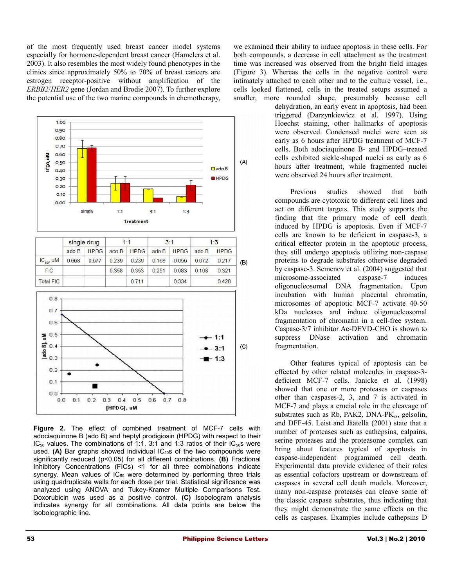of the most frequently used breast cancer model systems especially for hormone-dependent breast cancer (Hamelers et al. 2003). It also resembles the most widely found phenotypes in the clinics since approximately 50% to 70% of breast cancers are estrogen receptor-positive without amplification of the *ERBB2*/*HER2* gene (Jordan and Brodie 2007). To further explore the potential use of the two marine compounds in chemotherapy,



|                  | single drug |             | 1:1   |             | 3:1   |             | 1:3   |             |     |
|------------------|-------------|-------------|-------|-------------|-------|-------------|-------|-------------|-----|
|                  | ado B       | <b>HPDG</b> | ado B | <b>HPDG</b> | adoB  | <b>HPDG</b> | ado B | <b>HPDG</b> |     |
| $IC_{50}$ , UM   | 0.668       | 0.677       | 0.239 | 0.239       | 0.168 | 0.056       | 0.072 | 0.217       | (B) |
| <b>FIC</b>       |             |             | 0.358 | 0.353       | 0.251 | 0.083       | 0.108 | 0.321       |     |
| <b>Total FIC</b> |             |             |       | 0.711       |       | 0.334       |       | 0.428       |     |



**Figure 2.** The effect of combined treatment of MCF-7 cells with adociaquinone B (ado B) and heptyl prodigiosin (HPDG) with respect to their  $IC_{50}$  values. The combinations of 1:1, 3:1 and 1:3 ratios of their  $IC_{50}$ s were used. (A) Bar graphs showed individual IC<sub>50</sub>s of the two compounds were significantly reduced (p<0.05) for all different combinations. **(B)** Fractional Inhibitory Concentrations (FICs) <1 for all three combinations indicate synergy. Mean values of  $IC_{50}$  were determined by performing three trials using quadruplicate wells for each dose per trial. Statistical significance was analyzed using ANOVA and Tukey-Kramer Multiple Comparisons Test. Doxorubicin was used as a positive control. **(C)** Isobologram analysis indicates synergy for all combinations. All data points are below the isobolographic line.

we examined their ability to induce apoptosis in these cells. For both compounds, a decrease in cell attachment as the treatment time was increased was observed from the bright field images (Figure 3). Whereas the cells in the negative control were intimately attached to each other and to the culture vessel, i.e., cells looked flattened, cells in the treated setups assumed a smaller, more rounded shape, presumably because cell

dehydration, an early event in apoptosis, had been triggered (Darzynkiewicz et al. 1997). Using Hoechst staining, other hallmarks of apoptosis were observed. Condensed nuclei were seen as early as 6 hours after HPDG treatment of MCF-7 cells. Both adociaquinone B- and HPDG–treated cells exhibited sickle-shaped nuclei as early as 6 hours after treatment, while fragmented nuclei were observed 24 hours after treatment.

Previous studies showed that both compounds are cytotoxic to different cell lines and act on different targets. This study supports the finding that the primary mode of cell death induced by HPDG is apoptosis. Even if MCF-7 cells are known to be deficient in caspase-3, a critical effector protein in the apoptotic process, they still undergo apoptosis utilizing non-caspase proteins to degrade substrates otherwise degraded by caspase-3. Semenov et al. (2004) suggested that microsome-associated caspase-7 induces oligonucleosomal DNA fragmentation. Upon incubation with human placental chromatin, microsomes of apoptotic MCF-7 activate 40-50 kDa nucleases and induce oligonucleosomal fragmentation of chromatin in a cell-free system. Caspase-3/7 inhibitor Ac-DEVD-CHO is shown to suppress DNase activation and chromatin fragmentation.

Other features typical of apoptosis can be effected by other related molecules in caspase-3 deficient MCF-7 cells. Janicke et al. (1998) showed that one or more proteases or caspases other than caspases-2, 3, and 7 is activated in MCF-7 and plays a crucial role in the cleavage of substrates such as Rb, PAK2,  $DNA-PK_{cs}$ , gelsolin, and DFF-45. Leist and Jäätella (2001) state that a number of proteases such as cathepsins, calpains, serine proteases and the proteasome complex can bring about features typical of apoptosis in caspase-independent programmed cell death. Experimental data provide evidence of their roles as essential cofactors upstream or downstream of caspases in several cell death models. Moreover, many non-caspase proteases can cleave some of the classic caspase substrates, thus indicating that they might demonstrate the same effects on the cells as caspases. Examples include cathepsins D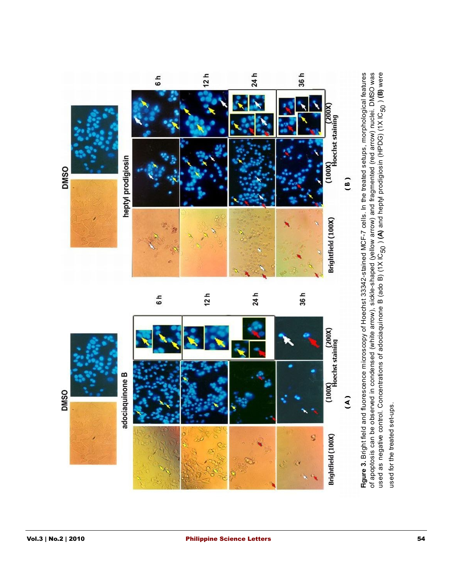

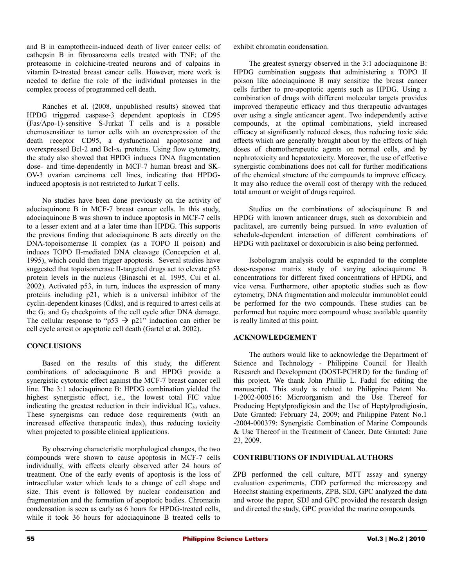and B in camptothecin-induced death of liver cancer cells; of cathepsin B in fibrosarcoma cells treated with TNF; of the proteasome in colchicine-treated neurons and of calpains in vitamin D-treated breast cancer cells. However, more work is needed to define the role of the individual proteases in the complex process of programmed cell death.

Ranches et al. (2008, unpublished results) showed that HPDG triggered caspase-3 dependent apoptosis in CD95 (Fas/Apo-1)-sensitive S-Jurkat T cells and is a possible chemosensitizer to tumor cells with an overexpression of the death receptor CD95, a dysfunctional apoptosome and overexpressed Bcl-2 and Bcl-xL proteins. Using flow cytometry, the study also showed that HPDG induces DNA fragmentation dose- and time-dependently in MCF-7 human breast and SK-OV-3 ovarian carcinoma cell lines, indicating that HPDGinduced apoptosis is not restricted to Jurkat T cells.

No studies have been done previously on the activity of adociaquinone B in MCF-7 breast cancer cells. In this study, adociaquinone B was shown to induce apoptosis in MCF-7 cells to a lesser extent and at a later time than HPDG. This supports the previous finding that adociaquinone B acts directly on the DNA-topoisomerase II complex (as a TOPO II poison) and induces TOPO II-mediated DNA cleavage (Concepcion et al. 1995), which could then trigger apoptosis. Several studies have suggested that topoisomerase II-targeted drugs act to elevate p53 protein levels in the nucleus (Binaschi et al. 1995, Cui et al. 2002). Activated p53, in turn, induces the expression of many proteins including p21, which is a universal inhibitor of the cyclin-dependent kinases (Cdks), and is required to arrest cells at the  $G_1$  and  $G_2$  checkpoints of the cell cycle after DNA damage. The cellular response to "p53  $\rightarrow$  p21" induction can either be cell cycle arrest or apoptotic cell death (Gartel et al. 2002).

# **CONCLUSIONS**

Based on the results of this study, the different combinations of adociaquinone B and HPDG provide a synergistic cytotoxic effect against the MCF-7 breast cancer cell line. The 3:1 adociaquinone B: HPDG combination yielded the highest synergistic effect, i.e., the lowest total FIC value indicating the greatest reduction in their individual  $IC_{50}$  values. These synergisms can reduce dose requirements (with an increased effective therapeutic index), thus reducing toxicity when projected to possible clinical applications.

By observing characteristic morphological changes, the two compounds were shown to cause apoptosis in MCF-7 cells individually, with effects clearly observed after 24 hours of treatment. One of the early events of apoptosis is the loss of intracellular water which leads to a change of cell shape and size. This event is followed by nuclear condensation and fragmentation and the formation of apoptotic bodies. Chromatin condensation is seen as early as 6 hours for HPDG-treated cells, while it took 36 hours for adociaquinone B–treated cells to

exhibit chromatin condensation.

The greatest synergy observed in the 3:1 adociaquinone B: HPDG combination suggests that administering a TOPO II poison like adociaquinone B may sensitize the breast cancer cells further to pro-apoptotic agents such as HPDG. Using a combination of drugs with different molecular targets provides improved therapeutic efficacy and thus therapeutic advantages over using a single anticancer agent. Two independently active compounds, at the optimal combinations, yield increased efficacy at significantly reduced doses, thus reducing toxic side effects which are generally brought about by the effects of high doses of chemotherapeutic agents on normal cells, and by nephrotoxicity and hepatotoxicity. Moreover, the use of effective synergistic combinations does not call for further modifications of the chemical structure of the compounds to improve efficacy. It may also reduce the overall cost of therapy with the reduced total amount or weight of drugs required.

Studies on the combinations of adociaquinone B and HPDG with known anticancer drugs, such as doxorubicin and paclitaxel, are currently being pursued. In *vitro* evaluation of schedule-dependent interaction of different combinations of HPDG with paclitaxel or doxorubicin is also being performed.

Isobologram analysis could be expanded to the complete dose-response matrix study of varying adociaquinone B concentrations for different fixed concentrations of HPDG, and vice versa. Furthermore, other apoptotic studies such as flow cytometry, DNA fragmentation and molecular immunoblot could be performed for the two compounds. These studies can be performed but require more compound whose available quantity is really limited at this point.

# **ACKNOWLEDGEMENT**

The authors would like to acknowledge the Department of Science and Technology - Philippine Council for Health Research and Development (DOST-PCHRD) for the funding of this project. We thank John Phillip L. Fadul for editing the manuscript. This study is related to Philippine Patent No. 1-2002-000516: Microorganism and the Use Thereof for Producing Heptylprodigiosin and the Use of Heptylprodigiosin, Date Granted: February 24, 2009; and Philippine Patent No.1 -2004-000379: Synergistic Combination of Marine Compounds & Use Thereof in the Treatment of Cancer, Date Granted: June 23, 2009.

# **CONTRIBUTIONS OF INDIVIDUAL AUTHORS**

ZPB performed the cell culture, MTT assay and synergy evaluation experiments, CDD performed the microscopy and Hoechst staining experiments, ZPB, SDJ, GPC analyzed the data and wrote the paper, SDJ and GPC provided the research design and directed the study, GPC provided the marine compounds.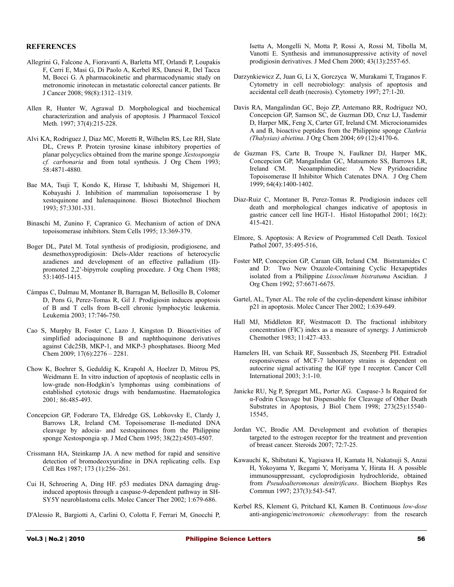#### **REFERENCES**

- Allegrini G, Falcone A, Fioravanti A, Barletta MT, Orlandi P, Loupakis F, Cerri E, Masi G, Di Paolo A, Kerbel RS, Danesi R, Del Tacca M, Bocci G. A pharmacokinetic and pharmacodynamic study on metronomic irinotecan in metastatic colorectal cancer patients. Br J Cancer 2008; 98(8):1312–1319.
- Allen R, Hunter W, Agrawal D. Morphological and biochemical characterization and analysis of apoptosis. J Pharmacol Toxicol Meth. 1997; 37(4):215-228.
- Alvi KA, Rodriguez J, Diaz MC, Moretti R, Wilhelm RS, Lee RH, Slate DL, Crews P. Protein tyrosine kinase inhibitory properties of planar polycyclics obtained from the marine sponge *Xestospongia cf. carbonaria* and from total synthesis. J Org Chem 1993; 58:4871-4880.
- Bae MA, Tsuji T, Kondo K, Hirase T, Ishibashi M, Shigemori H, Kobayashi J. Inhibition of mammalian topoisomerase I by xestoquinone and halenaquinone. Biosci Biotechnol Biochem 1993; 57:3301-331.
- Binaschi M, Zunino F, Capranico G. Mechanism of action of DNA topoisomerase inhibitors. Stem Cells 1995; 13:369-379.
- Boger DL, Patel M. Total synthesis of prodigiosin, prodigiosene, and desmethoxyprodigiosin: Diels-Alder reactions of heterocyclic azadienes and development of an effective palladium (II) promoted 2,2'-bipyrrole coupling procedure. J Org Chem 1988; 53:1405-1415.
- Cámpas C, Dalmau M, Montaner B, Barragan M, Bellosillo B, Colomer D, Pons G, Perez-Tomas R, Gil J. Prodigiosin induces apoptosis of B and T cells from B-cell chronic lymphocytic leukemia. Leukemia 2003; 17:746-750.
- Cao S, Murphy B, Foster C, Lazo J, Kingston D. Bioactivities of simplified adociaquinone B and naphthoquinone derivatives against Cdc25B, MKP-1, and MKP-3 phosphatases. Bioorg Med Chem 2009; 17(6):2276 – 2281.
- Chow K, Boehrer S, Geduldig K, Krapohl A, Hoelzer D, Mitrou PS, Weidmann E. In vitro induction of apoptosis of neoplastic cells in low-grade non-Hodgkin's lymphomas using combinations of established cytotoxic drugs with bendamustine. Haematologica 2001*;* 86:485-493.
- Concepcion GP, Foderaro TA, Eldredge GS, Lobkovsky E, Clardy J, Barrows LR, Ireland CM. Topoisomerase II-mediated DNA cleavage by adocia- and xestoquinones from the Philippine sponge Xestospongia sp. J Med Chem 1995; 38(22):4503-4507.
- Crissmann HA, Steinkamp JA. A new method for rapid and sensitive detection of bromodeoxyuridine in DNA replicating cells. Exp Cell Res 1987; 173 (1):256–261.
- Cui H, Schroering A, Ding HF. p53 mediates DNA damaging druginduced apoptosis through a caspase-9-dependent pathway in SH-SY5Y neuroblastoma cells. Molec Cancer Ther 2002; 1:679-686.
- D'Alessio R, Bargiotti A, Carlini O, Colotta F, Ferrari M, Gnocchi P,

Isetta A, Mongelli N, Motta P, Rossi A, Rossi M, Tibolla M, Vanotti E. Synthesis and immunosuppressive activity of novel prodigiosin derivatives. J Med Chem 2000; 43(13):2557-65.

- Darzynkiewicz Z, Juan G, Li X, Gorczyca W, Murakami T, Traganos F. Cytometry in cell necrobiology: analysis of apoptosis and accidental cell death (necrosis). Cytometry 1997; 27:1-20.
- Davis RA, Mangalindan GC, Bojo ZP, Antemano RR, Rodriguez NO, Concepcion GP, Samson SC, de Guzman DD, Cruz LJ, Tasdemir D, Harper MK, Feng X, Carter GT, Ireland CM. Microcionamides A and B, bioactive peptides from the Philippine sponge *Clathria (Thalysias) abietina*. J Org Chem 2004; 69 (12):4170-6.
- de Guzman FS, Carte B, Troupe N, Faulkner DJ, Harper MK, Concepcion GP, Mangalindan GC, Matsumoto SS, Barrows LR, Ireland CM. Neoamphimedine: A New Pyridoacridine Topoisomerase II Inhibitor Which Catenates DNA. J Org Chem 1999; 64(4):1400-1402.
- Diaz-Ruiz C, Montaner B, Perez-Tomas R. Prodigiosin induces cell death and morphological changes indicative of apoptosis in gastric cancer cell line HGT-1. Histol Histopathol 2001; 16(2): 415-421.
- Elmore, S. Apoptosis: A Review of Programmed Cell Death. Toxicol Pathol 2007, 35:495-516,
- Foster MP, Concepcion GP, Caraan GB, Ireland CM. Bistratamides C and D: Two New Oxazole-Containing Cyclic Hexapeptides isolated from a Philippine *Lissoclinum bistratuma* Ascidian. J Org Chem 1992; 57:6671-6675.
- Gartel, AL, Tyner AL. The role of the cyclin-dependent kinase inhibitor p21 in apoptosis. Molec Cancer Ther 2002; 1:639-649.
- Hall MJ, Middleton RF, Westmacott D. The fractional inhibitory concentration (FIC) index as a measure of synergy. J Antimicrob Chemother 1983; 11:427–433.
- Hamelers IH, van Schaik RF, Sussenbach JS, Steenberg PH. Estradiol responsiveness of MCF-7 laboratory strains is dependent on autocrine signal activating the IGF type I receptor. Cancer Cell International 2003; 3:1-10.
- Janicke RU, Ng P, Spregart ML, Porter AG. Caspase-3 Is Required for α-Fodrin Cleavage but Dispensable for Cleavage of Other Death Substrates in Apoptosis, J Biol Chem 1998; 273(25):15540– 15545,
- Jordan VC, Brodie AM. Development and evolution of therapies targeted to the estrogen receptor for the treatment and prevention of breast cancer. Steroids 2007; 72:7-25.
- Kawauchi K, Shibutani K, Yagisawa H, Kamata H, Nakatsuji S, Anzai H, Yokoyama Y, Ikegami Y, Moriyama Y, Hirata H. A possible immunosuppressant, cycloprodigiosin hydrochloride, obtained from *Pseudoalteromonas denitrificans*. Biochem Biophys Res Commun 1997; 237(3):543-547.
- Kerbel RS, Klement G, Pritchard KI, Kamen B. Continuous *low*-*dose* anti-angiogenic/*metronomic chemotherapy*: from the research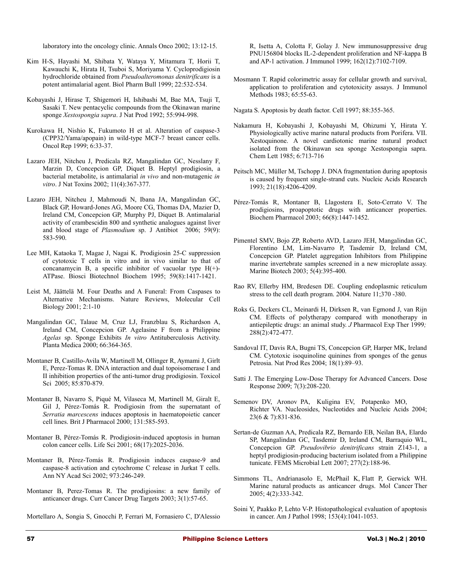laboratory into the oncology clinic. Annals Onco 2002; 13:12-15.

- Kim H-S, Hayashi M, Shibata Y, Wataya Y, Mitamura T, Horii T, Kawauchi K, Hirata H, Tsuboi S, Moriyama Y. Cycloprodigiosin hydrochloride obtained from *Pseudoalteromonas denitrificans* is a potent antimalarial agent. Biol Pharm Bull 1999; 22:532-534.
- Kobayashi J, Hirase T, Shigemori H, Ishibashi M, Bae MA, Tsuji T, Sasaki T. New pentacyclic compounds from the Okinawan marine sponge *Xestospongia sapra*. J Nat Prod 1992; 55:994-998.
- Kurokawa H, Nishio K, Fukumoto H et al. Alteration of caspase-3 (CPP32/Yama/apopain) in wild-type MCF-7 breast cancer cells. Oncol Rep 1999; 6:33-37.
- [Lazaro JEH](http://www.ncbi.nlm.nih.gov/entrez/query.fcgi?db=PubMed&cmd=Search&itool=PubMed_Citation&term=%22Lazaro+JE%22%5BAuthor%5D), [Nitcheu J,](http://www.ncbi.nlm.nih.gov/entrez/query.fcgi?db=PubMed&cmd=Search&itool=PubMed_Citation&term=%22Nitcheu+J%22%5BAuthor%5D) [Predicala RZ,](http://www.ncbi.nlm.nih.gov/entrez/query.fcgi?db=PubMed&cmd=Search&itool=PubMed_Citation&term=%22Predicala+RZ%22%5BAuthor%5D) [Mangalindan GC,](http://www.ncbi.nlm.nih.gov/entrez/query.fcgi?db=PubMed&cmd=Search&itool=PubMed_Citation&term=%22Mangalindan+GC%22%5BAuthor%5D) [Nesslany F,](http://www.ncbi.nlm.nih.gov/entrez/query.fcgi?db=PubMed&cmd=Search&itool=PubMed_Citation&term=%22Nesslany+F%22%5BAuthor%5D) [Marzin D,](http://www.ncbi.nlm.nih.gov/entrez/query.fcgi?db=PubMed&cmd=Search&itool=PubMed_Citation&term=%22Marzin+D%22%5BAuthor%5D) [Concepcion GP,](http://www.ncbi.nlm.nih.gov/entrez/query.fcgi?db=PubMed&cmd=Search&itool=PubMed_Citation&term=%22Concepcion+GP%22%5BAuthor%5D) [Diquet B.](http://www.ncbi.nlm.nih.gov/entrez/query.fcgi?db=PubMed&cmd=Search&itool=PubMed_Citation&term=%22Diquet+B%22%5BAuthor%5D) Heptyl prodigiosin, a bacterial metabolite, is antimalarial *in vivo* and non-mutagenic *in vitro*. J Nat Toxins 2002; 11(4):367-377.
- Lazaro JEH, Nitcheu J, Mahmoudi N, Ibana JA, Mangalindan GC, Black GP, Howard-Jones AG, Moore CG, Thomas DA, Mazier D, Ireland CM, Concepcion GP, Murphy PJ, Diquet B. Antimalarial activity of crambescidin 800 and synthetic analogues against liver and blood stage of *Plasmodium* sp. J Antibiot 2006; 59(9): 583-590.
- Lee MH, Kataoka T, Magae J, Nagai K. Prodigiosin 25-C suppression of cytotoxic T cells in vitro and in vivo similar to that of concanamycin B, a specific inhibitor of vacuolar type  $H(+)$ -ATPase. Biosci Biotechnol Biochem 1995; 59(8):1417-1421.
- Leist M, Jäättelä M. Four Deaths and A Funeral: From Caspases to Alternative Mechanisms. Nature Reviews, Molecular Cell Biology 2001; 2:1-10
- Mangalindan GC, Talaue M, Cruz LJ, Franzblau S, Richardson A, Ireland CM, Concepcion GP. Agelasine F from a Philippine *Agelas* sp. Sponge Exhibits *In vitro* Antituberculosis Activity. Planta Medica 2000; 66:364-365.
- Montaner B, Castillo-Avila W, Martinell M, Ollinger R, Aymami J, Girlt E, Perez-Tomas R. DNA interaction and dual topoisomerase I and II inhibition properties of the anti-tumor drug prodigiosin. Toxicol Sci 2005; 85:870-879.
- Montaner B, Navarro S, Piqué M, Vilaseca M, Martinell M, Giralt E, Gil J, Pérez-Tomás R. Prodigiosin from the supernatant of *Serratia marcescens* induces apoptosis in haematopoietic cancer cell lines. Brit J Pharmacol 2000; 131:585-593.
- Montaner B, Pérez-Tomás R. Prodigiosin-induced apoptosis in human colon cancer cells. Life Sci 2001; 68(17):2025-2036.
- Montaner B, Pérez-Tomás R. Prodigiosin induces caspase-9 and caspase-8 activation and cytochrome C release in Jurkat T cells. Ann NY Acad Sci 2002; 973:246-249.
- Montaner B, Perez-Tomas R. The prodigiosins: a new family of anticancer drugs. Curr Cancer Drug Targets 2003; 3(1):57-65.
- [Mortellaro A,](http://www.ncbi.nlm.nih.gov/pubmed?term=%22Mortellaro%20A%22%5BAuthor%5D&itool=EntrezSystem2.PEntrez.Pubmed.Pubmed_ResultsPanel.Pubmed_RVAbstract) [Songia S,](http://www.ncbi.nlm.nih.gov/pubmed?term=%22Songia%20S%22%5BAuthor%5D&itool=EntrezSystem2.PEntrez.Pubmed.Pubmed_ResultsPanel.Pubmed_RVAbstract) [Gnocchi P,](http://www.ncbi.nlm.nih.gov/pubmed?term=%22Gnocchi%20P%22%5BAuthor%5D&itool=EntrezSystem2.PEntrez.Pubmed.Pubmed_ResultsPanel.Pubmed_RVAbstract) [Ferrari M,](http://www.ncbi.nlm.nih.gov/pubmed?term=%22Ferrari%20M%22%5BAuthor%5D&itool=EntrezSystem2.PEntrez.Pubmed.Pubmed_ResultsPanel.Pubmed_RVAbstract) [Fornasiero C,](http://www.ncbi.nlm.nih.gov/pubmed?term=%22Fornasiero%20C%22%5BAuthor%5D&itool=EntrezSystem2.PEntrez.Pubmed.Pubmed_ResultsPanel.Pubmed_RVAbstract) [D'Alessio](http://www.ncbi.nlm.nih.gov/pubmed?term=%22D)

[R,](http://www.ncbi.nlm.nih.gov/pubmed?term=%22D) [Isetta A,](http://www.ncbi.nlm.nih.gov/pubmed?term=%22Isetta%20A%22%5BAuthor%5D&itool=EntrezSystem2.PEntrez.Pubmed.Pubmed_ResultsPanel.Pubmed_RVAbstract) [Colotta F,](http://www.ncbi.nlm.nih.gov/pubmed?term=%22Colotta%20F%22%5BAuthor%5D&itool=EntrezSystem2.PEntrez.Pubmed.Pubmed_ResultsPanel.Pubmed_RVAbstract) [Golay J.](http://www.ncbi.nlm.nih.gov/pubmed?term=%22Golay%20J%22%5BAuthor%5D&itool=EntrezSystem2.PEntrez.Pubmed.Pubmed_ResultsPanel.Pubmed_RVAbstract) New immunosuppressive drug PNU156804 blocks IL-2-dependent proliferation and NF-kappa B and AP-1 activation. J Immunol 1999; 162(12):7102-7109.

- Mosmann T. Rapid colorimetric assay for cellular growth and survival, application to proliferation and cytotoxicity assays. J Immunol Methods 1983; 65:55-63.
- Nagata S. Apoptosis by death factor. Cell 1997; 88:355-365.
- Nakamura H, Kobayashi J, Kobayashi M, Ohizumi Y, Hirata Y. Physiologically active marine natural products from Porifera. VII. Xestoquinone. A novel cardiotonic marine natural product isolated from the Okinawan sea sponge Xestospongia sapra. Chem Lett 1985; 6:713-716
- Peitsch MC, Müller M, Tschopp J. DNA fragmentation during apoptosis is caused by frequent single-strand cuts. Nucleic Acids Research 1993; 21(18):4206-4209.
- Pérez-Tomás R, Montaner B, Llagostera E, Soto-Cerrato V. The prodigiosins, proapoptotic drugs with anticancer properties. Biochem Pharmacol 2003; 66(8):1447-1452.
- Pimentel SMV, Bojo ZP, Roberto AVD, Lazaro JEH, Mangalindan GC, Florentino LM, Lim-Navarro P, Tasdemir D, Ireland CM, Concepcion GP. Platelet aggregation Inhibitors from Philippine marine invertebrate samples screened in a new microplate assay. Marine Biotech 2003; 5(4):395-400.
- Rao RV, Ellerby HM, Bredesen DE. Coupling endoplasmic reticulum stress to the cell death program. 2004. Nature 11;370 -380.
- Roks G, Deckers CL, Meinardi H, Dirksen R, van Egmond J, van Rijn CM. Effects of polytherapy compared with monotherapy in antiepileptic drugs: an animal study. *J* Pharmacol Exp Ther 1999*;* 288(2):472-477.
- Sandoval IT, Davis RA, Bugni TS, Concepcion GP, Harper MK, Ireland CM. Cytotoxic isoquinoline quinines from sponges of the genus Petrosia. Nat Prod Res 2004; 18(1):89–93.
- Satti J. The Emerging Low-Dose Therapy for Advanced Cancers. Dose Response 2009; 7(3):208-220.
- Semenov DV, Aronov PA, Kuligina EV, Potapenko MO, Richter VA. [Nucleosides, Nucleotides and Nucleic Acids](http://www.informaworld.com/smpp/title~db=all~content=t713597286) 2004; [23](http://www.informaworld.com/smpp/title~db=all~content=t713597286~tab=issueslist~branches=23#v23)[\(6 & 7\):8](http://www.informaworld.com/smpp/title~db=all~content=g713644580)31-836.
- Sertan-de Guzman AA, Predicala RZ, Bernardo EB, Neilan BA, Elardo SP, Mangalindan GC, Tasdemir D, Ireland CM, Barraquio WL, Concepcion GP. *Pseudovibrio denitrificans* strain Z143-1, a heptyl prodigiosin-producing bacterium isolated from a Philippine tunicate. FEMS Microbial Lett 2007; 277(2):188-96.
- Simmons TL, Andrianasolo E, McPhail K, Flatt P, Gerwick WH. Marine natural products as anticancer drugs. Mol Cancer Ther 2005; 4(2):333-342.
- Soini Y, Paakko P, Lehto V-P. Histopathological evaluation of apoptosis in cancer. Am J Pathol 1998; 153(4):1041-1053.